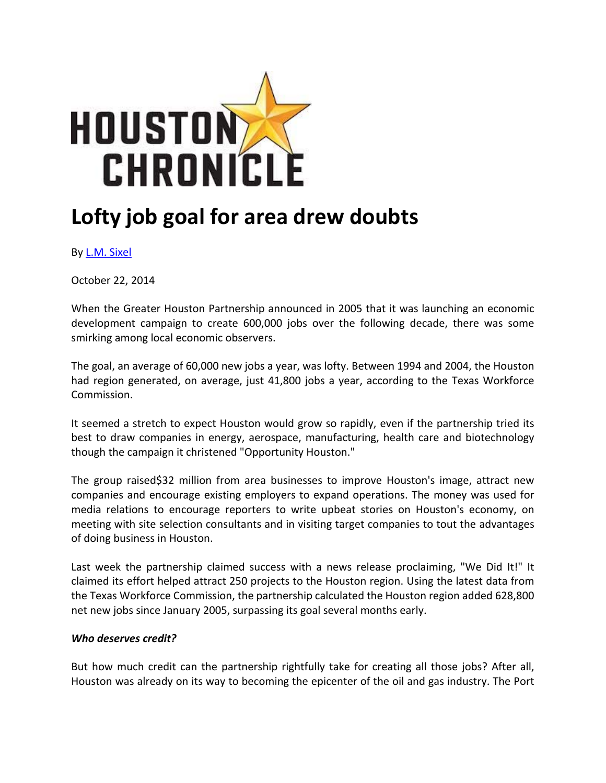

## **Lofty job goal for area drew doubts**

By L.M. Sixel

October 22, 2014

When the Greater Houston Partnership announced in 2005 that it was launching an economic development campaign to create 600,000 jobs over the following decade, there was some smirking among local economic observers.

The goal, an average of 60,000 new jobs a year, was lofty. Between 1994 and 2004, the Houston had region generated, on average, just 41,800 jobs a year, according to the Texas Workforce Commission.

It seemed a stretch to expect Houston would grow so rapidly, even if the partnership tried its best to draw companies in energy, aerospace, manufacturing, health care and biotechnology though the campaign it christened "Opportunity Houston."

The group raised\$32 million from area businesses to improve Houston's image, attract new companies and encourage existing employers to expand operations. The money was used for media relations to encourage reporters to write upbeat stories on Houston's economy, on meeting with site selection consultants and in visiting target companies to tout the advantages of doing business in Houston.

Last week the partnership claimed success with a news release proclaiming, "We Did It!" It claimed its effort helped attract 250 projects to the Houston region. Using the latest data from the Texas Workforce Commission, the partnership calculated the Houston region added 628,800 net new jobs since January 2005, surpassing its goal several months early.

## *Who deserves credit?*

But how much credit can the partnership rightfully take for creating all those jobs? After all, Houston was already on its way to becoming the epicenter of the oil and gas industry. The Port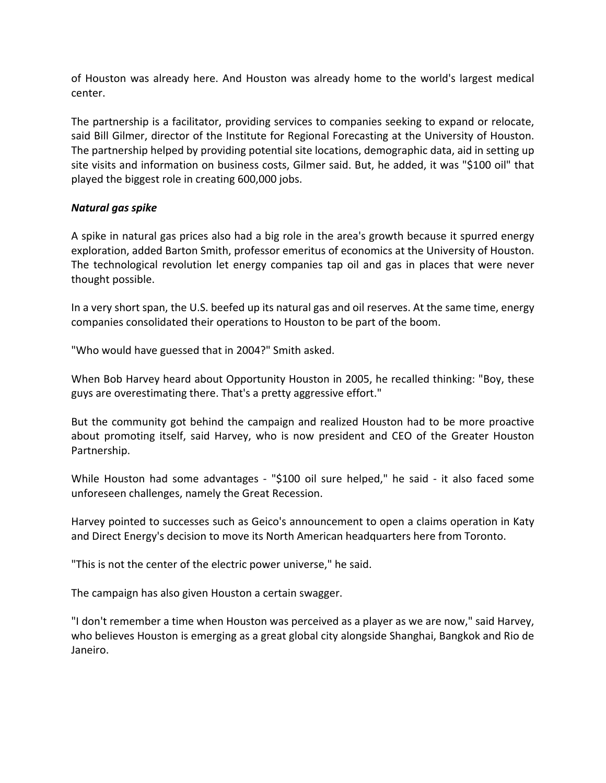of Houston was already here. And Houston was already home to the world's largest medical center.

The partnership is a facilitator, providing services to companies seeking to expand or relocate, said Bill Gilmer, director of the Institute for Regional Forecasting at the University of Houston. The partnership helped by providing potential site locations, demographic data, aid in setting up site visits and information on business costs, Gilmer said. But, he added, it was "\$100 oil" that played the biggest role in creating 600,000 jobs.

## *Natural gas spike*

A spike in natural gas prices also had a big role in the area's growth because it spurred energy exploration, added Barton Smith, professor emeritus of economics at the University of Houston. The technological revolution let energy companies tap oil and gas in places that were never thought possible.

In a very short span, the U.S. beefed up its natural gas and oil reserves. At the same time, energy companies consolidated their operations to Houston to be part of the boom.

"Who would have guessed that in 2004?" Smith asked.

When Bob Harvey heard about Opportunity Houston in 2005, he recalled thinking: "Boy, these guys are overestimating there. That's a pretty aggressive effort."

But the community got behind the campaign and realized Houston had to be more proactive about promoting itself, said Harvey, who is now president and CEO of the Greater Houston Partnership.

While Houston had some advantages - "\$100 oil sure helped," he said - it also faced some unforeseen challenges, namely the Great Recession.

Harvey pointed to successes such as Geico's announcement to open a claims operation in Katy and Direct Energy's decision to move its North American headquarters here from Toronto.

"This is not the center of the electric power universe," he said.

The campaign has also given Houston a certain swagger.

"I don't remember a time when Houston was perceived as a player as we are now," said Harvey, who believes Houston is emerging as a great global city alongside Shanghai, Bangkok and Rio de Janeiro.